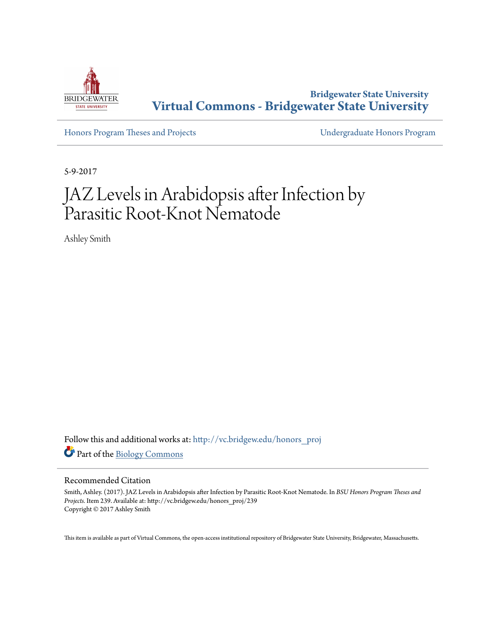

**Bridgewater State University [Virtual Commons - Bridgewater State University](http://vc.bridgew.edu?utm_source=vc.bridgew.edu%2Fhonors_proj%2F239&utm_medium=PDF&utm_campaign=PDFCoverPages)**

[Honors Program Theses and Projects](http://vc.bridgew.edu/honors_proj?utm_source=vc.bridgew.edu%2Fhonors_proj%2F239&utm_medium=PDF&utm_campaign=PDFCoverPages) [Undergraduate Honors Program](http://vc.bridgew.edu/honors?utm_source=vc.bridgew.edu%2Fhonors_proj%2F239&utm_medium=PDF&utm_campaign=PDFCoverPages)

5-9-2017

# JAZ Levels in Arabidopsis after Infection by Parasitic Root-Knot Nematode

Ashley Smith

Follow this and additional works at: [http://vc.bridgew.edu/honors\\_proj](http://vc.bridgew.edu/honors_proj?utm_source=vc.bridgew.edu%2Fhonors_proj%2F239&utm_medium=PDF&utm_campaign=PDFCoverPages) Part of the [Biology Commons](http://network.bepress.com/hgg/discipline/41?utm_source=vc.bridgew.edu%2Fhonors_proj%2F239&utm_medium=PDF&utm_campaign=PDFCoverPages)

#### Recommended Citation

Smith, Ashley. (2017). JAZ Levels in Arabidopsis after Infection by Parasitic Root-Knot Nematode. In *BSU Honors Program Theses and Projects.* Item 239. Available at: http://vc.bridgew.edu/honors\_proj/239 Copyright © 2017 Ashley Smith

This item is available as part of Virtual Commons, the open-access institutional repository of Bridgewater State University, Bridgewater, Massachusetts.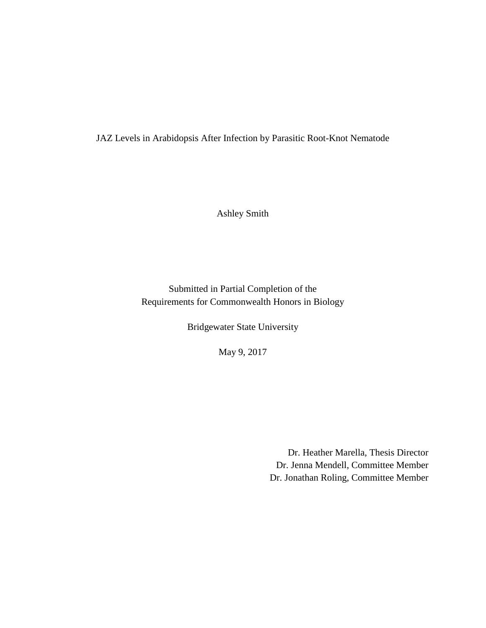JAZ Levels in Arabidopsis After Infection by Parasitic Root-Knot Nematode

Ashley Smith

Submitted in Partial Completion of the Requirements for Commonwealth Honors in Biology

Bridgewater State University

May 9, 2017

Dr. Heather Marella, Thesis Director Dr. Jenna Mendell, Committee Member Dr. Jonathan Roling, Committee Member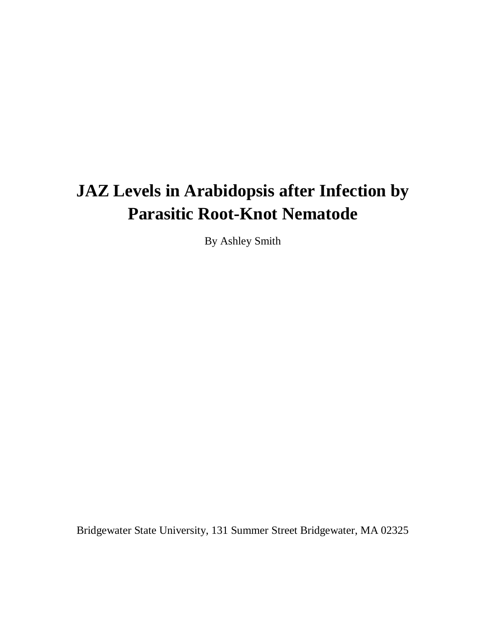# **JAZ Levels in Arabidopsis after Infection by Parasitic Root-Knot Nematode**

By Ashley Smith

Bridgewater State University, 131 Summer Street Bridgewater, MA 02325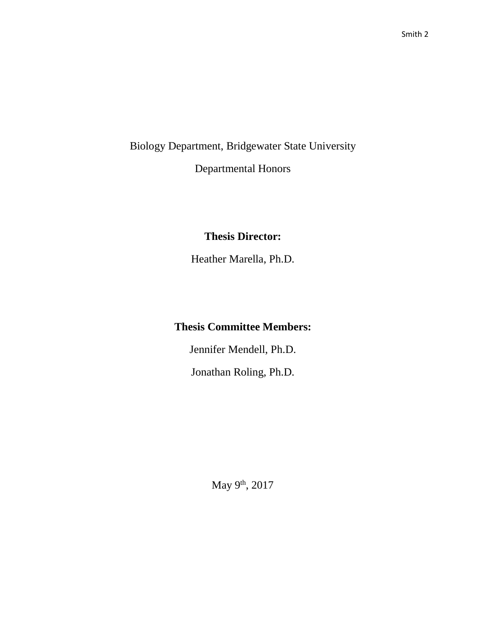Biology Department, Bridgewater State University

Departmental Honors

## **Thesis Director:**

Heather Marella, Ph.D.

## **Thesis Committee Members:**

Jennifer Mendell, Ph.D.

Jonathan Roling, Ph.D.

May 9<sup>th</sup>, 2017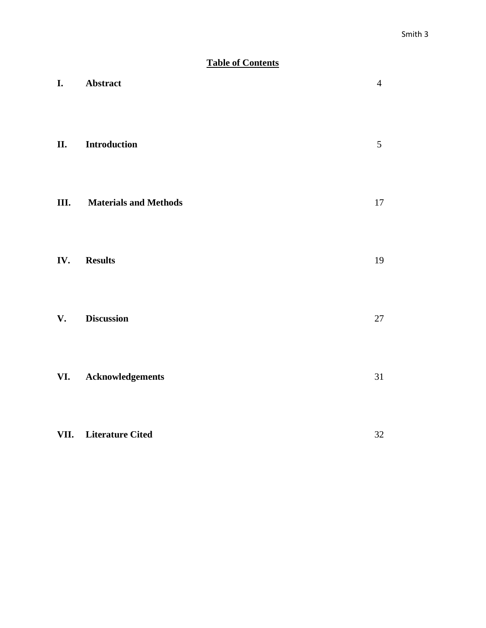## **Table of Contents**

| I.   | Abstract                     | $\overline{4}$ |
|------|------------------------------|----------------|
| II.  | Introduction                 | 5              |
| III. | <b>Materials and Methods</b> | 17             |
| IV.  | <b>Results</b>               | 19             |
| V.   | <b>Discussion</b>            | 27             |
| VI.  | Acknowledgements             | 31             |
|      | VII. Literature Cited        | 32             |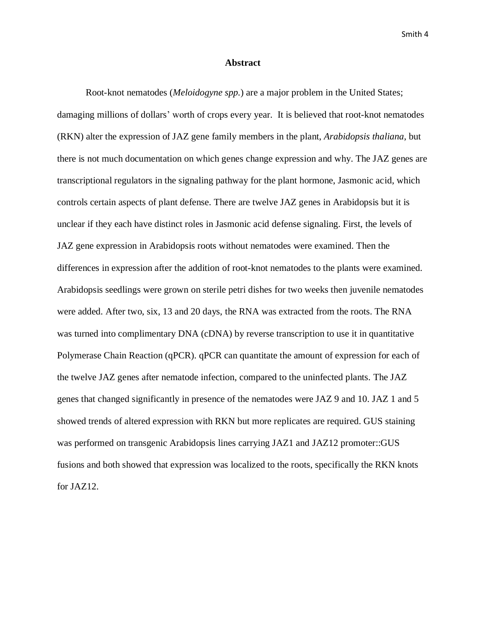#### **Abstract**

Root-knot nematodes (*Meloidogyne spp.*) are a major problem in the United States; damaging millions of dollars' worth of crops every year. It is believed that root-knot nematodes (RKN) alter the expression of JAZ gene family members in the plant, *Arabidopsis thaliana*, but there is not much documentation on which genes change expression and why. The JAZ genes are transcriptional regulators in the signaling pathway for the plant hormone, Jasmonic acid, which controls certain aspects of plant defense. There are twelve JAZ genes in Arabidopsis but it is unclear if they each have distinct roles in Jasmonic acid defense signaling. First, the levels of JAZ gene expression in Arabidopsis roots without nematodes were examined. Then the differences in expression after the addition of root-knot nematodes to the plants were examined. Arabidopsis seedlings were grown on sterile petri dishes for two weeks then juvenile nematodes were added. After two, six, 13 and 20 days, the RNA was extracted from the roots. The RNA was turned into complimentary DNA (cDNA) by reverse transcription to use it in quantitative Polymerase Chain Reaction (qPCR). qPCR can quantitate the amount of expression for each of the twelve JAZ genes after nematode infection, compared to the uninfected plants. The JAZ genes that changed significantly in presence of the nematodes were JAZ 9 and 10. JAZ 1 and 5 showed trends of altered expression with RKN but more replicates are required. GUS staining was performed on transgenic Arabidopsis lines carrying JAZ1 and JAZ12 promoter::GUS fusions and both showed that expression was localized to the roots, specifically the RKN knots for JAZ12.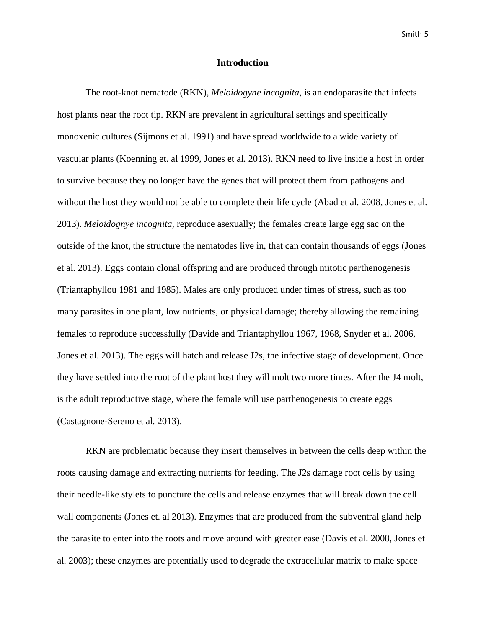#### **Introduction**

The root-knot nematode (RKN), *Meloidogyne incognita*, is an endoparasite that infects host plants near the root tip. RKN are prevalent in agricultural settings and specifically monoxenic cultures (Sijmons et al. 1991) and have spread worldwide to a wide variety of vascular plants (Koenning et. al 1999, Jones et al. 2013). RKN need to live inside a host in order to survive because they no longer have the genes that will protect them from pathogens and without the host they would not be able to complete their life cycle (Abad et al. 2008, Jones et al. 2013). *Meloidognye incognita,* reproduce asexually; the females create large egg sac on the outside of the knot, the structure the nematodes live in, that can contain thousands of eggs (Jones et al. 2013). Eggs contain clonal offspring and are produced through mitotic parthenogenesis (Triantaphyllou 1981 and 1985). Males are only produced under times of stress, such as too many parasites in one plant, low nutrients, or physical damage; thereby allowing the remaining females to reproduce successfully (Davide and Triantaphyllou 1967, 1968, Snyder et al. 2006, Jones et al. 2013). The eggs will hatch and release J2s, the infective stage of development. Once they have settled into the root of the plant host they will molt two more times. After the J4 molt, is the adult reproductive stage, where the female will use parthenogenesis to create eggs (Castagnone-Sereno et al. 2013).

RKN are problematic because they insert themselves in between the cells deep within the roots causing damage and extracting nutrients for feeding. The J2s damage root cells by using their needle-like stylets to puncture the cells and release enzymes that will break down the cell wall components (Jones et. al 2013). Enzymes that are produced from the subventral gland help the parasite to enter into the roots and move around with greater ease (Davis et al. 2008, Jones et al. 2003); these enzymes are potentially used to degrade the extracellular matrix to make space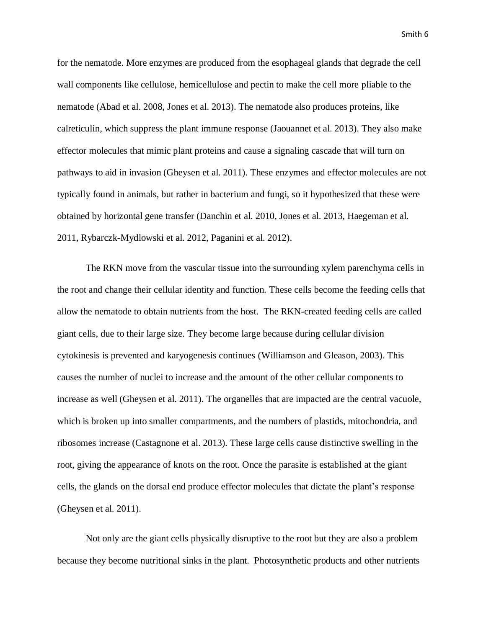for the nematode. More enzymes are produced from the esophageal glands that degrade the cell wall components like cellulose, hemicellulose and pectin to make the cell more pliable to the nematode (Abad et al. 2008, Jones et al. 2013). The nematode also produces proteins, like calreticulin, which suppress the plant immune response (Jaouannet et al. 2013). They also make effector molecules that mimic plant proteins and cause a signaling cascade that will turn on pathways to aid in invasion (Gheysen et al. 2011). These enzymes and effector molecules are not typically found in animals, but rather in bacterium and fungi, so it hypothesized that these were obtained by horizontal gene transfer (Danchin et al. 2010, Jones et al. 2013, Haegeman et al. 2011, Rybarczk-Mydlowski et al. 2012, Paganini et al. 2012).

The RKN move from the vascular tissue into the surrounding xylem parenchyma cells in the root and change their cellular identity and function. These cells become the feeding cells that allow the nematode to obtain nutrients from the host. The RKN-created feeding cells are called giant cells, due to their large size. They become large because during cellular division cytokinesis is prevented and karyogenesis continues (Williamson and Gleason, 2003). This causes the number of nuclei to increase and the amount of the other cellular components to increase as well (Gheysen et al. 2011). The organelles that are impacted are the central vacuole, which is broken up into smaller compartments, and the numbers of plastids, mitochondria, and ribosomes increase (Castagnone et al. 2013). These large cells cause distinctive swelling in the root, giving the appearance of knots on the root. Once the parasite is established at the giant cells, the glands on the dorsal end produce effector molecules that dictate the plant's response (Gheysen et al. 2011).

Not only are the giant cells physically disruptive to the root but they are also a problem because they become nutritional sinks in the plant. Photosynthetic products and other nutrients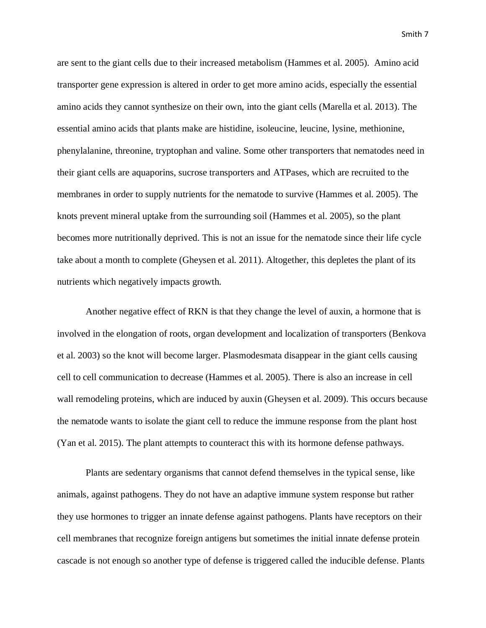are sent to the giant cells due to their increased metabolism (Hammes et al. 2005). Amino acid transporter gene expression is altered in order to get more amino acids, especially the essential amino acids they cannot synthesize on their own, into the giant cells (Marella et al. 2013). The essential amino acids that plants make are histidine, isoleucine, leucine, lysine, methionine, phenylalanine, threonine, tryptophan and valine. Some other transporters that nematodes need in their giant cells are aquaporins, sucrose transporters and ATPases, which are recruited to the membranes in order to supply nutrients for the nematode to survive (Hammes et al. 2005). The knots prevent mineral uptake from the surrounding soil (Hammes et al. 2005), so the plant becomes more nutritionally deprived. This is not an issue for the nematode since their life cycle take about a month to complete (Gheysen et al. 2011). Altogether, this depletes the plant of its nutrients which negatively impacts growth.

Another negative effect of RKN is that they change the level of auxin, a hormone that is involved in the elongation of roots, organ development and localization of transporters (Benkova et al. 2003) so the knot will become larger. Plasmodesmata disappear in the giant cells causing cell to cell communication to decrease (Hammes et al. 2005). There is also an increase in cell wall remodeling proteins, which are induced by auxin (Gheysen et al. 2009). This occurs because the nematode wants to isolate the giant cell to reduce the immune response from the plant host (Yan et al. 2015). The plant attempts to counteract this with its hormone defense pathways.

Plants are sedentary organisms that cannot defend themselves in the typical sense, like animals, against pathogens. They do not have an adaptive immune system response but rather they use hormones to trigger an innate defense against pathogens. Plants have receptors on their cell membranes that recognize foreign antigens but sometimes the initial innate defense protein cascade is not enough so another type of defense is triggered called the inducible defense. Plants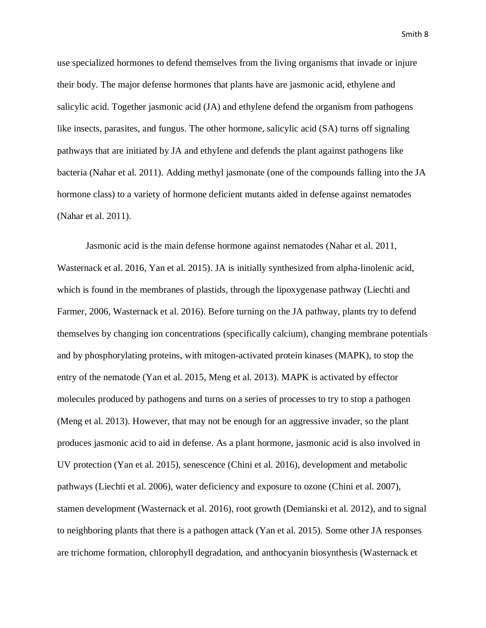use specialized hormones to defend themselves from the living organisms that invade or injure their body. The major defense hormones that plants have are jasmonic acid, ethylene and salicylic acid. Together jasmonic acid (JA) and ethylene defend the organism from pathogens like insects, parasites, and fungus. The other hormone, salicylic acid (SA) turns off signaling pathways that are initiated by JA and ethylene and defends the plant against pathogens like bacteria (Nahar et al. 2011). Adding methyl jasmonate (one of the compounds falling into the JA hormone class) to a variety of hormone deficient mutants aided in defense against nematodes (Nahar et al. 2011).

Jasmonic acid is the main defense hormone against nematodes (Nahar et al. 2011, Wasternack et al. 2016, Yan et al. 2015). JA is initially synthesized from alpha-linolenic acid, which is found in the membranes of plastids, through the lipoxygenase pathway (Liechti and Farmer, 2006, Wasternack et al. 2016). Before turning on the JA pathway, plants try to defend themselves by changing ion concentrations (specifically calcium), changing membrane potentials and by phosphorylating proteins, with mitogen-activated protein kinases (MAPK), to stop the entry of the nematode (Yan et al. 2015, Meng et al. 2013). MAPK is activated by effector molecules produced by pathogens and turns on a series of processes to try to stop a pathogen (Meng et al. 2013). However, that may not be enough for an aggressive invader, so the plant produces jasmonic acid to aid in defense. As a plant hormone, jasmonic acid is also involved in UV protection (Yan et al. 2015), senescence (Chini et al. 2016), development and metabolic pathways (Liechti et al. 2006), water deficiency and exposure to ozone (Chini et al. 2007), stamen development (Wasternack et al. 2016), root growth (Demianski et al. 2012), and to signal to neighboring plants that there is a pathogen attack (Yan et al. 2015). Some other JA responses are trichome formation, chlorophyll degradation, and anthocyanin biosynthesis (Wasternack et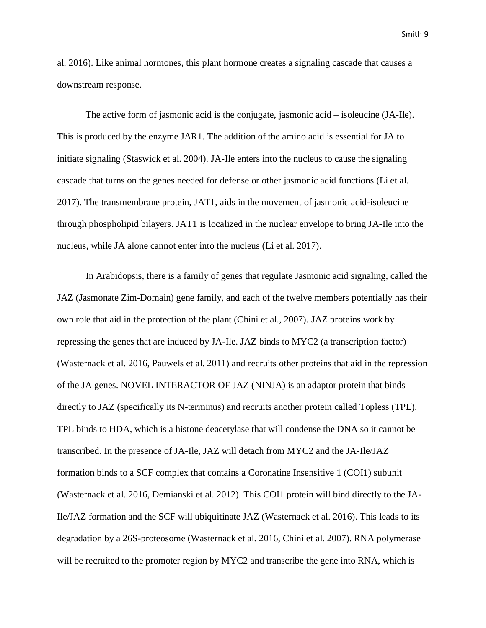al. 2016). Like animal hormones, this plant hormone creates a signaling cascade that causes a downstream response.

The active form of jasmonic acid is the conjugate, jasmonic acid – isoleucine (JA-Ile). This is produced by the enzyme JAR1. The addition of the amino acid is essential for JA to initiate signaling (Staswick et al. 2004). JA-Ile enters into the nucleus to cause the signaling cascade that turns on the genes needed for defense or other jasmonic acid functions (Li et al. 2017). The transmembrane protein, JAT1, aids in the movement of jasmonic acid-isoleucine through phospholipid bilayers. JAT1 is localized in the nuclear envelope to bring JA-Ile into the nucleus, while JA alone cannot enter into the nucleus (Li et al. 2017).

In Arabidopsis, there is a family of genes that regulate Jasmonic acid signaling, called the JAZ (Jasmonate Zim-Domain) gene family, and each of the twelve members potentially has their own role that aid in the protection of the plant (Chini et al., 2007). JAZ proteins work by repressing the genes that are induced by JA-Ile. JAZ binds to MYC2 (a transcription factor) (Wasternack et al. 2016, Pauwels et al. 2011) and recruits other proteins that aid in the repression of the JA genes. NOVEL INTERACTOR OF JAZ (NINJA) is an adaptor protein that binds directly to JAZ (specifically its N-terminus) and recruits another protein called Topless (TPL). TPL binds to HDA, which is a histone deacetylase that will condense the DNA so it cannot be transcribed. In the presence of JA-Ile, JAZ will detach from MYC2 and the JA-Ile/JAZ formation binds to a SCF complex that contains a Coronatine Insensitive 1 (COI1) subunit (Wasternack et al. 2016, Demianski et al. 2012). This COI1 protein will bind directly to the JA-Ile/JAZ formation and the SCF will ubiquitinate JAZ (Wasternack et al. 2016). This leads to its degradation by a 26S-proteosome (Wasternack et al. 2016, Chini et al. 2007). RNA polymerase will be recruited to the promoter region by MYC2 and transcribe the gene into RNA, which is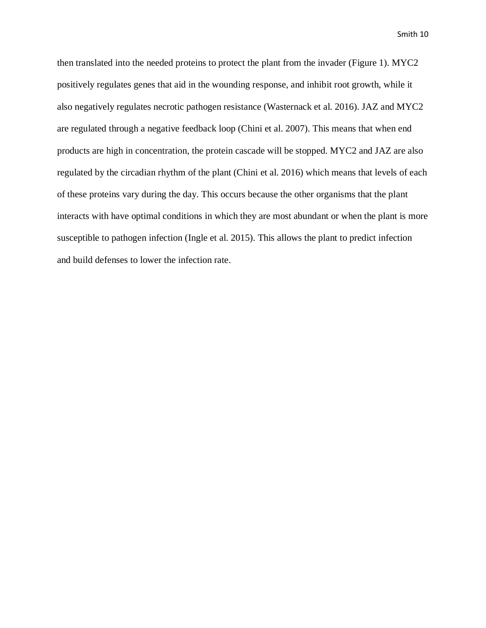then translated into the needed proteins to protect the plant from the invader (Figure 1). MYC2 positively regulates genes that aid in the wounding response, and inhibit root growth, while it also negatively regulates necrotic pathogen resistance (Wasternack et al. 2016). JAZ and MYC2 are regulated through a negative feedback loop (Chini et al. 2007). This means that when end products are high in concentration, the protein cascade will be stopped. MYC2 and JAZ are also regulated by the circadian rhythm of the plant (Chini et al. 2016) which means that levels of each of these proteins vary during the day. This occurs because the other organisms that the plant interacts with have optimal conditions in which they are most abundant or when the plant is more susceptible to pathogen infection (Ingle et al. 2015). This allows the plant to predict infection and build defenses to lower the infection rate.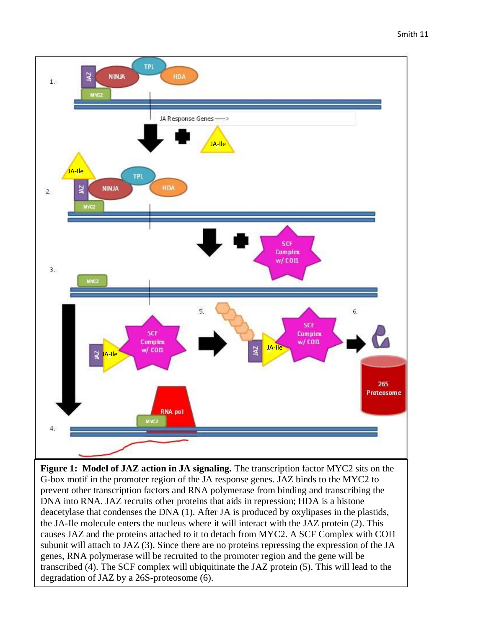

**Figure 1: Model of JAZ action in JA signaling.** The transcription factor MYC2 sits on the G-box motif in the promoter region of the JA response genes. JAZ binds to the MYC2 to prevent other transcription factors and RNA polymerase from binding and transcribing the DNA into RNA. JAZ recruits other proteins that aids in repression; HDA is a histone deacetylase that condenses the DNA (1). After JA is produced by oxylipases in the plastids, the JA-Ile molecule enters the nucleus where it will interact with the JAZ protein (2). This causes JAZ and the proteins attached to it to detach from MYC2. A SCF Complex with COI1 subunit will attach to JAZ (3). Since there are no proteins repressing the expression of the JA genes, RNA polymerase will be recruited to the promoter region and the gene will be transcribed (4). The SCF complex will ubiquitinate the JAZ protein (5). This will lead to the degradation of JAZ by a 26S-proteosome (6).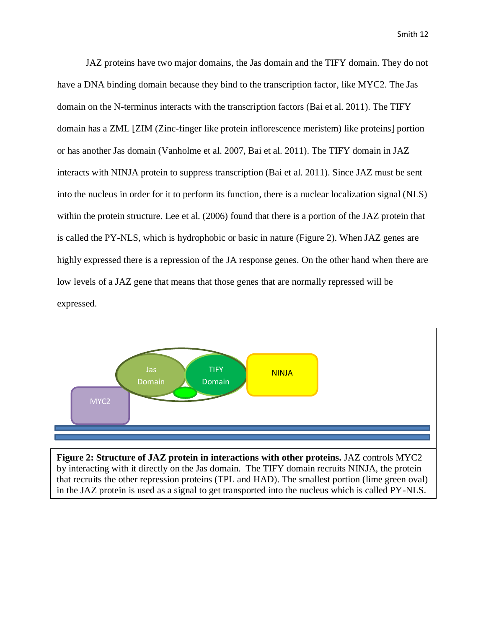JAZ proteins have two major domains, the Jas domain and the TIFY domain. They do not have a DNA binding domain because they bind to the transcription factor, like MYC2. The Jas domain on the N-terminus interacts with the transcription factors (Bai et al. 2011). The TIFY domain has a ZML [ZIM (Zinc-finger like protein inflorescence meristem) like proteins] portion or has another Jas domain (Vanholme et al. 2007, Bai et al. 2011). The TIFY domain in JAZ interacts with NINJA protein to suppress transcription (Bai et al. 2011). Since JAZ must be sent into the nucleus in order for it to perform its function, there is a nuclear localization signal (NLS) within the protein structure. Lee et al. (2006) found that there is a portion of the JAZ protein that is called the PY-NLS, which is hydrophobic or basic in nature (Figure 2). When JAZ genes are highly expressed there is a repression of the JA response genes. On the other hand when there are low levels of a JAZ gene that means that those genes that are normally repressed will be expressed.



**Figure 2: Structure of JAZ protein in interactions with other proteins.** JAZ controls MYC2 by interacting with it directly on the Jas domain. The TIFY domain recruits NINJA, the protein that recruits the other repression proteins (TPL and HAD). The smallest portion (lime green oval) in the JAZ protein is used as a signal to get transported into the nucleus which is called PY-NLS.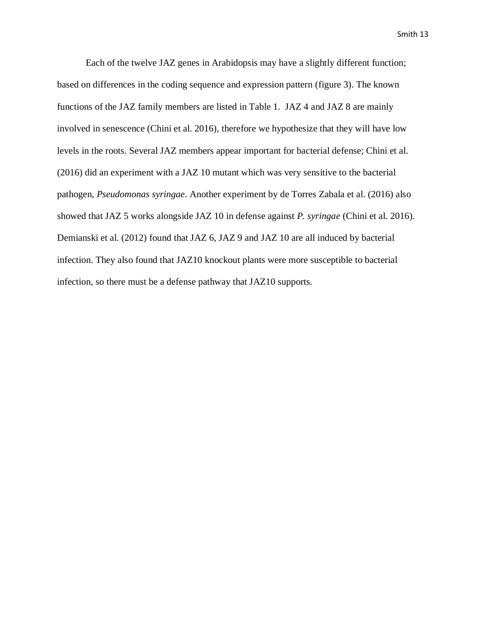Each of the twelve JAZ genes in Arabidopsis may have a slightly different function; based on differences in the coding sequence and expression pattern (figure 3). The known functions of the JAZ family members are listed in Table 1. JAZ 4 and JAZ 8 are mainly involved in senescence (Chini et al. 2016), therefore we hypothesize that they will have low levels in the roots. Several JAZ members appear important for bacterial defense; Chini et al. (2016) did an experiment with a JAZ 10 mutant which was very sensitive to the bacterial pathogen, *Pseudomonas syringae*. Another experiment by de Torres Zabala et al. (2016) also showed that JAZ 5 works alongside JAZ 10 in defense against *P. syringae* (Chini et al. 2016). Demianski et al. (2012) found that JAZ 6, JAZ 9 and JAZ 10 are all induced by bacterial infection. They also found that JAZ10 knockout plants were more susceptible to bacterial infection, so there must be a defense pathway that JAZ10 supports.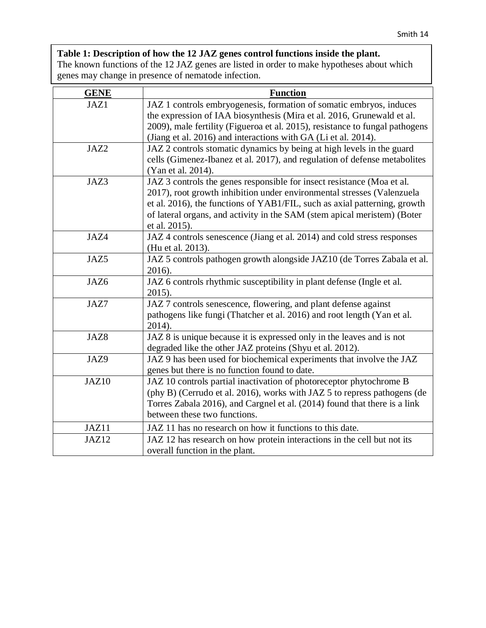## **Table 1: Description of how the 12 JAZ genes control functions inside the plant.**

The known functions of the 12 JAZ genes are listed in order to make hypotheses about which genes may change in presence of nematode infection.

| <b>GENE</b> | <b>Function</b>                                                                                                                                                                                                                                                                                                            |  |
|-------------|----------------------------------------------------------------------------------------------------------------------------------------------------------------------------------------------------------------------------------------------------------------------------------------------------------------------------|--|
| JAZ1        | JAZ 1 controls embryogenesis, formation of somatic embryos, induces<br>the expression of IAA biosynthesis (Mira et al. 2016, Grunewald et al.<br>2009), male fertility (Figueroa et al. 2015), resistance to fungal pathogens<br>(Jiang et al. 2016) and interactions with GA (Li et al. 2014).                            |  |
| JAZ2        | JAZ 2 controls stomatic dynamics by being at high levels in the guard<br>cells (Gimenez-Ibanez et al. 2017), and regulation of defense metabolites<br>(Yan et al. 2014).                                                                                                                                                   |  |
| JAZ3        | JAZ 3 controls the genes responsible for insect resistance (Moa et al.<br>2017), root growth inhibition under environmental stresses (Valenzuela<br>et al. 2016), the functions of YAB1/FIL, such as axial patterning, growth<br>of lateral organs, and activity in the SAM (stem apical meristem) (Boter<br>et al. 2015). |  |
| JAZ4        | JAZ 4 controls senescence (Jiang et al. 2014) and cold stress responses<br>(Hu et al. 2013).                                                                                                                                                                                                                               |  |
| JAZ5        | JAZ 5 controls pathogen growth alongside JAZ10 (de Torres Zabala et al.<br>2016).                                                                                                                                                                                                                                          |  |
| JAZ6        | JAZ 6 controls rhythmic susceptibility in plant defense (Ingle et al.<br>2015).                                                                                                                                                                                                                                            |  |
| JAZ7        | JAZ 7 controls senescence, flowering, and plant defense against<br>pathogens like fungi (Thatcher et al. 2016) and root length (Yan et al.<br>2014).                                                                                                                                                                       |  |
| JAZ8        | JAZ 8 is unique because it is expressed only in the leaves and is not<br>degraded like the other JAZ proteins (Shyu et al. 2012).                                                                                                                                                                                          |  |
| JAZ9        | JAZ 9 has been used for biochemical experiments that involve the JAZ<br>genes but there is no function found to date.                                                                                                                                                                                                      |  |
| JAZ10       | JAZ 10 controls partial inactivation of photoreceptor phytochrome B<br>(phy B) (Cerrudo et al. 2016), works with JAZ 5 to repress pathogens (de<br>Torres Zabala 2016), and Cargnel et al. (2014) found that there is a link<br>between these two functions.                                                               |  |
| JAZ11       | JAZ 11 has no research on how it functions to this date.                                                                                                                                                                                                                                                                   |  |
| JAZ12       | JAZ 12 has research on how protein interactions in the cell but not its<br>overall function in the plant.                                                                                                                                                                                                                  |  |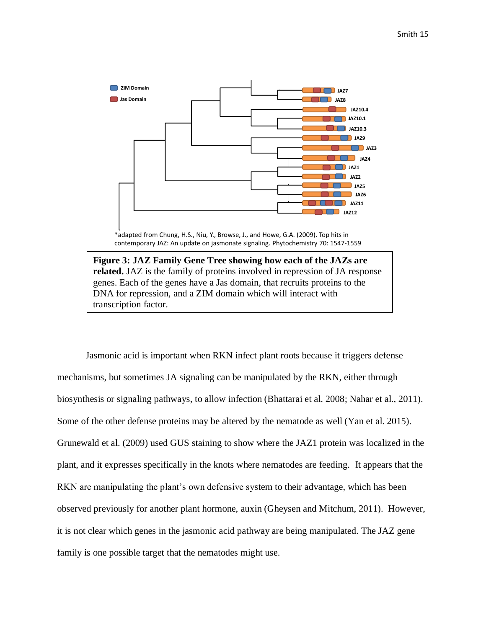

\*adapted from Chung, H.S., Niu, Y., Browse, J., and Howe, G.A. (2009). Top hits in contemporary JAZ: An update on jasmonate signaling. Phytochemistry 70: 1547-1559

**Figure 3: JAZ Family Gene Tree showing how each of the JAZs are related.** JAZ is the family of proteins involved in repression of JA response genes. Each of the genes have a Jas domain, that recruits proteins to the DNA for repression, and a ZIM domain which will interact with transcription factor.

Jasmonic acid is important when RKN infect plant roots because it triggers defense mechanisms, but sometimes JA signaling can be manipulated by the RKN, either through biosynthesis or signaling pathways, to allow infection (Bhattarai et al. 2008; Nahar et al., 2011). Some of the other defense proteins may be altered by the nematode as well (Yan et al. 2015). Grunewald et al. (2009) used GUS staining to show where the JAZ1 protein was localized in the plant, and it expresses specifically in the knots where nematodes are feeding. It appears that the RKN are manipulating the plant's own defensive system to their advantage, which has been observed previously for another plant hormone, auxin (Gheysen and Mitchum, 2011). However, it is not clear which genes in the jasmonic acid pathway are being manipulated. The JAZ gene family is one possible target that the nematodes might use.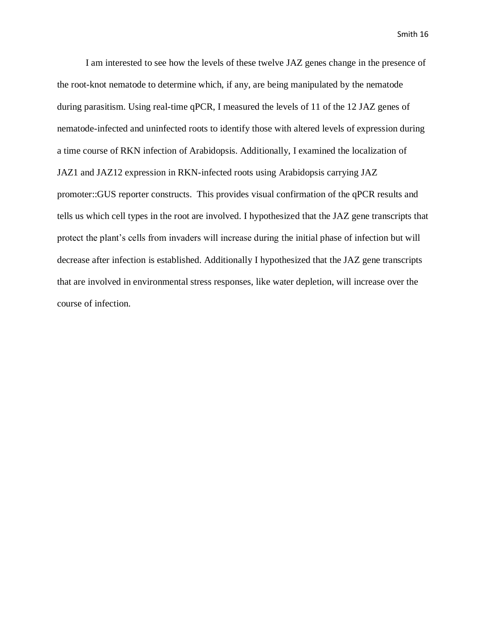I am interested to see how the levels of these twelve JAZ genes change in the presence of the root-knot nematode to determine which, if any, are being manipulated by the nematode during parasitism. Using real-time qPCR, I measured the levels of 11 of the 12 JAZ genes of nematode-infected and uninfected roots to identify those with altered levels of expression during a time course of RKN infection of Arabidopsis. Additionally, I examined the localization of JAZ1 and JAZ12 expression in RKN-infected roots using Arabidopsis carrying JAZ promoter::GUS reporter constructs. This provides visual confirmation of the qPCR results and tells us which cell types in the root are involved. I hypothesized that the JAZ gene transcripts that protect the plant's cells from invaders will increase during the initial phase of infection but will decrease after infection is established. Additionally I hypothesized that the JAZ gene transcripts that are involved in environmental stress responses, like water depletion, will increase over the course of infection.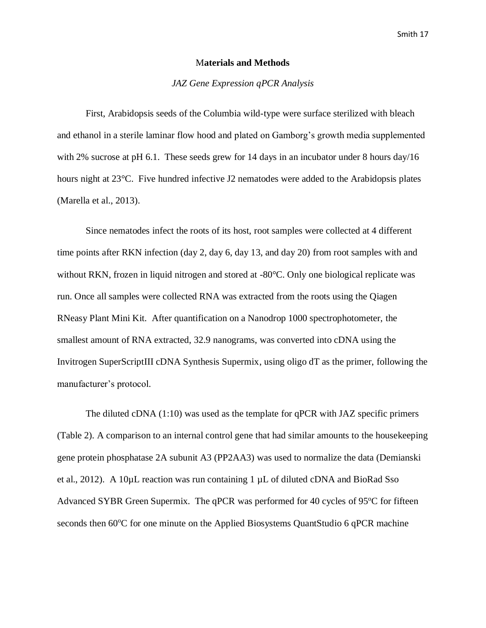#### M**aterials and Methods**

#### *JAZ Gene Expression qPCR Analysis*

First, Arabidopsis seeds of the Columbia wild-type were surface sterilized with bleach and ethanol in a sterile laminar flow hood and plated on Gamborg's growth media supplemented with 2% sucrose at pH 6.1. These seeds grew for 14 days in an incubator under 8 hours day/16 hours night at 23°C. Five hundred infective J2 nematodes were added to the Arabidopsis plates (Marella et al., 2013).

Since nematodes infect the roots of its host, root samples were collected at 4 different time points after RKN infection (day 2, day 6, day 13, and day 20) from root samples with and without RKN, frozen in liquid nitrogen and stored at -80°C. Only one biological replicate was run. Once all samples were collected RNA was extracted from the roots using the Qiagen RNeasy Plant Mini Kit. After quantification on a Nanodrop 1000 spectrophotometer, the smallest amount of RNA extracted, 32.9 nanograms, was converted into cDNA using the Invitrogen SuperScriptIII cDNA Synthesis Supermix, using oligo dT as the primer, following the manufacturer's protocol.

The diluted cDNA (1:10) was used as the template for qPCR with JAZ specific primers (Table 2). A comparison to an internal control gene that had similar amounts to the housekeeping gene protein phosphatase 2A subunit A3 (PP2AA3) was used to normalize the data (Demianski et al., 2012). A 10µL reaction was run containing 1 µL of diluted cDNA and BioRad Sso Advanced SYBR Green Supermix. The qPCR was performed for 40 cycles of  $95^{\circ}$ C for fifteen seconds then  $60^{\circ}$ C for one minute on the Applied Biosystems QuantStudio 6 qPCR machine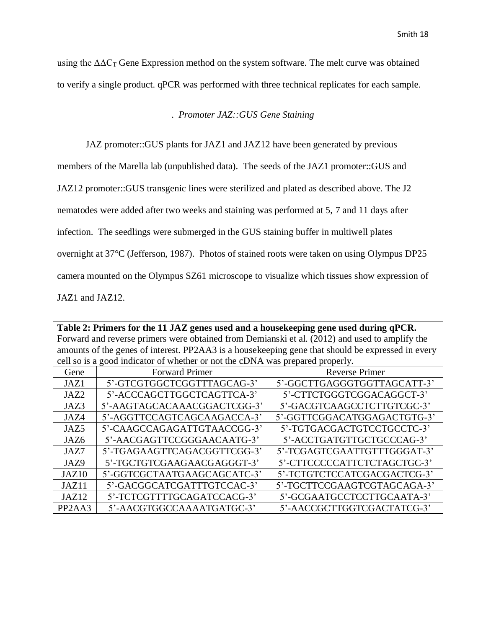using the  $\Delta \Delta C_T$  Gene Expression method on the system software. The melt curve was obtained to verify a single product. qPCR was performed with three technical replicates for each sample.

#### . *Promoter JAZ::GUS Gene Staining*

JAZ promoter::GUS plants for JAZ1 and JAZ12 have been generated by previous

members of the Marella lab (unpublished data). The seeds of the JAZ1 promoter::GUS and

JAZ12 promoter::GUS transgenic lines were sterilized and plated as described above. The J2

nematodes were added after two weeks and staining was performed at 5, 7 and 11 days after

infection. The seedlings were submerged in the GUS staining buffer in multiwell plates

overnight at 37°C (Jefferson, 1987). Photos of stained roots were taken on using Olympus DP25

camera mounted on the Olympus SZ61 microscope to visualize which tissues show expression of

JAZ1 and JAZ12.

**Table 2: Primers for the 11 JAZ genes used and a housekeeping gene used during qPCR.** Forward and reverse primers were obtained from Demianski et al. (2012) and used to amplify the amounts of the genes of interest. PP2AA3 is a housekeeping gene that should be expressed in every cell so is a good indicator of whether or not the cDNA was prepared properly.

| Gene                             | <b>Forward Primer</b>       | <b>Reverse Primer</b>       |
|----------------------------------|-----------------------------|-----------------------------|
| JAZ1                             | 5'-GTCGTGGCTCGGTTTAGCAG-3'  | 5'-GGCTTGAGGGTGGTTAGCATT-3' |
| JAZ2                             | 5'-ACCCAGCTTGGCTCAGTTCA-3'  | 5'-CTTCTGGGTCGGACAGGCT-3'   |
| JAZ3                             | 5'-AAGTAGCACAAACGGACTCGG-3' | 5'-GACGTCAAGCCTCTTGTCGC-3'  |
| JAZ4                             | 5'-AGGTTCCAGTCAGCAAGACCA-3' | 5'-GGTTCGGACATGGAGACTGTG-3' |
| JAZ5                             | 5'-CAAGCCAGAGATTGTAACCGG-3' | 5'-TGTGACGACTGTCCTGCCTC-3'  |
| JAZ <sub>6</sub>                 | 5'-AACGAGTTCCGGGAACAATG-3'  | 5'-ACCTGATGTTGCTGCCCAG-3'   |
| JAZ7                             | 5'-TGAGAAGTTCAGACGGTTCGG-3' | 5'-TCGAGTCGAATTGTTTGGGAT-3' |
| JAZ9                             | 5'-TGCTGTCGAAGAACGAGGGT-3'  | 5'-CTTCCCCCATTCTCTAGCTGC-3' |
| JAZ <sub>10</sub>                | 5'-GGTCGCTAATGAAGCAGCATC-3' | 5'-TCTGTCTCCATCGACGACTCG-3' |
| JAZ11                            | 5'-GACGGCATCGATTTGTCCAC-3'  | 5'-TGCTTCCGAAGTCGTAGCAGA-3' |
| JAZ <sub>12</sub>                | 5'-TCTCGTTTTGCAGATCCACG-3'  | 5'-GCGAATGCCTCCTTGCAATA-3'  |
| PP <sub>2</sub> A <sub>A</sub> 3 | 5'-AACGTGGCCAAAATGATGC-3'   | 5'-AACCGCTTGGTCGACTATCG-3'  |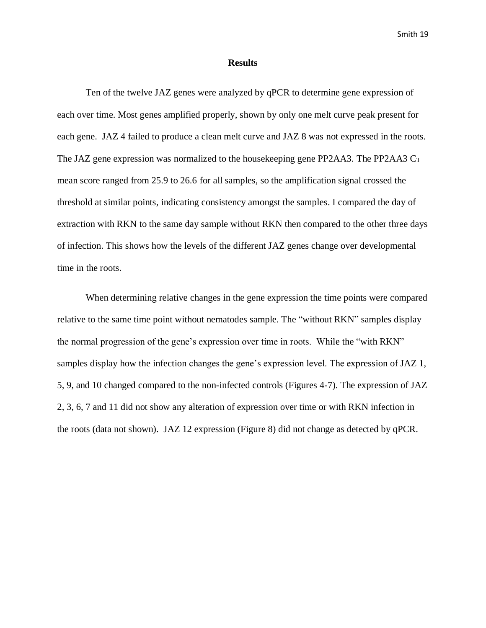#### **Results**

Ten of the twelve JAZ genes were analyzed by qPCR to determine gene expression of each over time. Most genes amplified properly, shown by only one melt curve peak present for each gene. JAZ 4 failed to produce a clean melt curve and JAZ 8 was not expressed in the roots. The JAZ gene expression was normalized to the house keeping gene PP2AA3. The PP2AA3  $C_T$ mean score ranged from 25.9 to 26.6 for all samples, so the amplification signal crossed the threshold at similar points, indicating consistency amongst the samples. I compared the day of extraction with RKN to the same day sample without RKN then compared to the other three days of infection. This shows how the levels of the different JAZ genes change over developmental time in the roots.

When determining relative changes in the gene expression the time points were compared relative to the same time point without nematodes sample. The "without RKN" samples display the normal progression of the gene's expression over time in roots. While the "with RKN" samples display how the infection changes the gene's expression level. The expression of JAZ 1, 5, 9, and 10 changed compared to the non-infected controls (Figures 4-7). The expression of JAZ 2, 3, 6, 7 and 11 did not show any alteration of expression over time or with RKN infection in the roots (data not shown). JAZ 12 expression (Figure 8) did not change as detected by qPCR.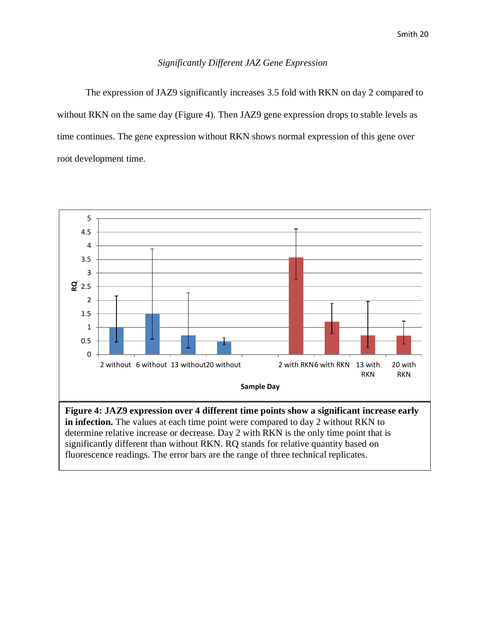### *Significantly Different JAZ Gene Expression*

The expression of JAZ9 significantly increases 3.5 fold with RKN on day 2 compared to without RKN on the same day (Figure 4). Then JAZ9 gene expression drops to stable levels as time continues. The gene expression without RKN shows normal expression of this gene over root development time.



determine relative increase or decrease. Day 2 with RKN is the only time point that is significantly different than without RKN. RQ stands for relative quantity based on fluorescence readings. The error bars are the range of three technical replicates.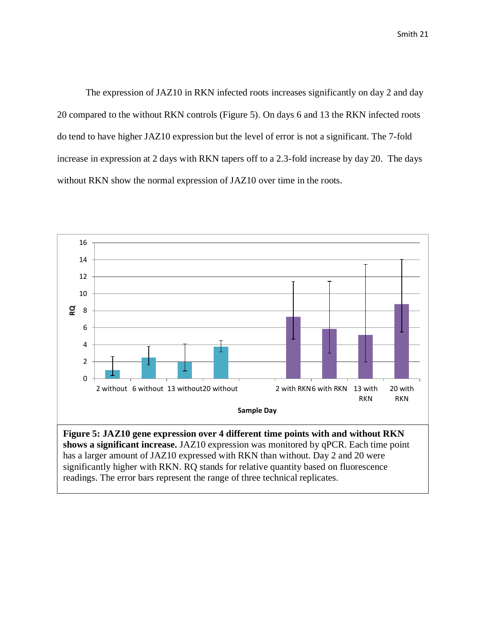The expression of JAZ10 in RKN infected roots increases significantly on day 2 and day 20 compared to the without RKN controls (Figure 5). On days 6 and 13 the RKN infected roots do tend to have higher JAZ10 expression but the level of error is not a significant. The 7-fold increase in expression at 2 days with RKN tapers off to a 2.3-fold increase by day 20. The days without RKN show the normal expression of JAZ10 over time in the roots.



has a larger amount of JAZ10 expressed with RKN than without. Day 2 and 20 were significantly higher with RKN. RQ stands for relative quantity based on fluorescence readings. The error bars represent the range of three technical replicates.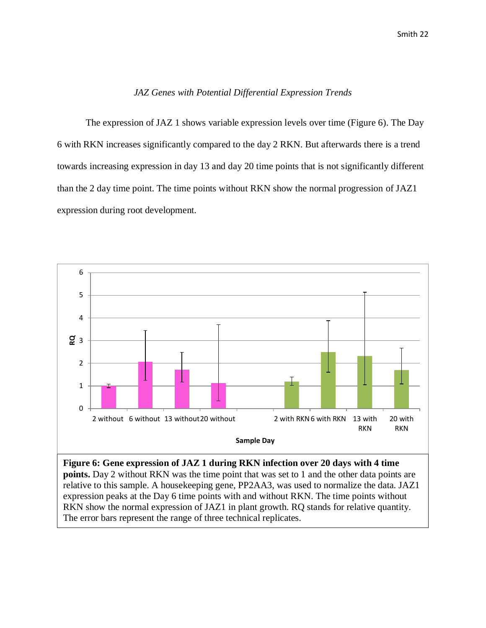#### *JAZ Genes with Potential Differential Expression Trends*

The expression of JAZ 1 shows variable expression levels over time (Figure 6). The Day 6 with RKN increases significantly compared to the day 2 RKN. But afterwards there is a trend towards increasing expression in day 13 and day 20 time points that is not significantly different than the 2 day time point. The time points without RKN show the normal progression of JAZ1 expression during root development.



**points.** Day 2 without RKN was the time point that was set to 1 and the other data points are relative to this sample. A housekeeping gene, PP2AA3, was used to normalize the data. JAZ1 expression peaks at the Day 6 time points with and without RKN. The time points without RKN show the normal expression of JAZ1 in plant growth. RQ stands for relative quantity. The error bars represent the range of three technical replicates.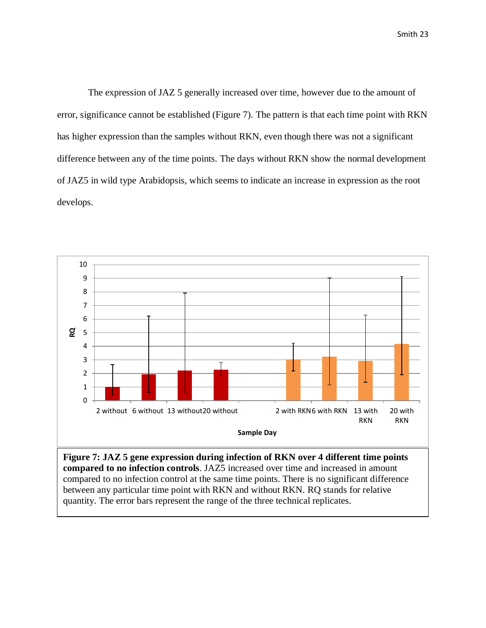The expression of JAZ 5 generally increased over time, however due to the amount of error, significance cannot be established (Figure 7). The pattern is that each time point with RKN has higher expression than the samples without RKN, even though there was not a significant difference between any of the time points. The days without RKN show the normal development of JAZ5 in wild type Arabidopsis, which seems to indicate an increase in expression as the root develops.



**Figure 7: JAZ 5 gene expression during infection of RKN over 4 different time points compared to no infection controls**. JAZ5 increased over time and increased in amount compared to no infection control at the same time points. There is no significant difference between any particular time point with RKN and without RKN. RQ stands for relative quantity. The error bars represent the range of the three technical replicates.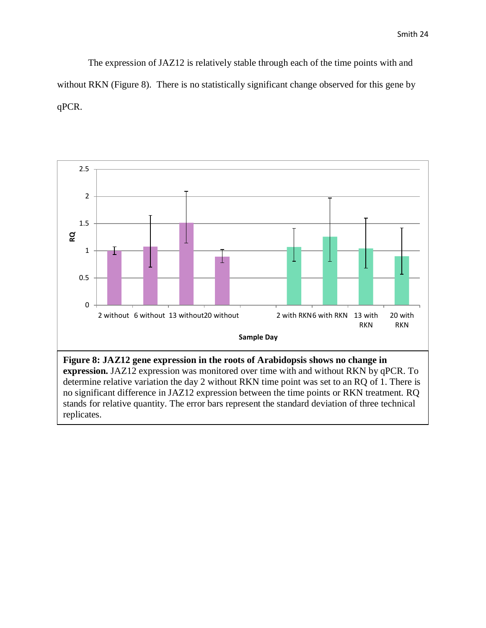The expression of JAZ12 is relatively stable through each of the time points with and without RKN (Figure 8). There is no statistically significant change observed for this gene by qPCR.



replicates.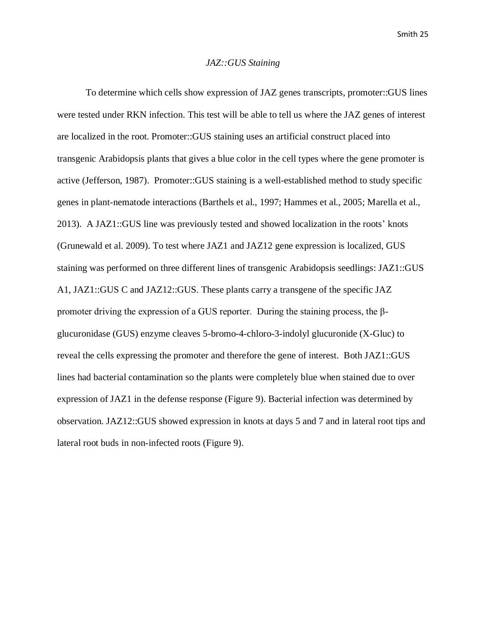#### *JAZ::GUS Staining*

To determine which cells show expression of JAZ genes transcripts, promoter::GUS lines were tested under RKN infection. This test will be able to tell us where the JAZ genes of interest are localized in the root. Promoter::GUS staining uses an artificial construct placed into transgenic Arabidopsis plants that gives a blue color in the cell types where the gene promoter is active (Jefferson, 1987). Promoter::GUS staining is a well-established method to study specific genes in plant-nematode interactions (Barthels et al., 1997; Hammes et al., 2005; Marella et al., 2013). A JAZ1::GUS line was previously tested and showed localization in the roots' knots (Grunewald et al. 2009). To test where JAZ1 and JAZ12 gene expression is localized, GUS staining was performed on three different lines of transgenic Arabidopsis seedlings: JAZ1::GUS A1, JAZ1::GUS C and JAZ12::GUS. These plants carry a transgene of the specific JAZ promoter driving the expression of a GUS reporter. During the staining process, the βglucuronidase (GUS) enzyme cleaves 5-bromo-4-chloro-3-indolyl glucuronide (X-Gluc) to reveal the cells expressing the promoter and therefore the gene of interest. Both JAZ1::GUS lines had bacterial contamination so the plants were completely blue when stained due to over expression of JAZ1 in the defense response (Figure 9). Bacterial infection was determined by observation. JAZ12::GUS showed expression in knots at days 5 and 7 and in lateral root tips and lateral root buds in non-infected roots (Figure 9).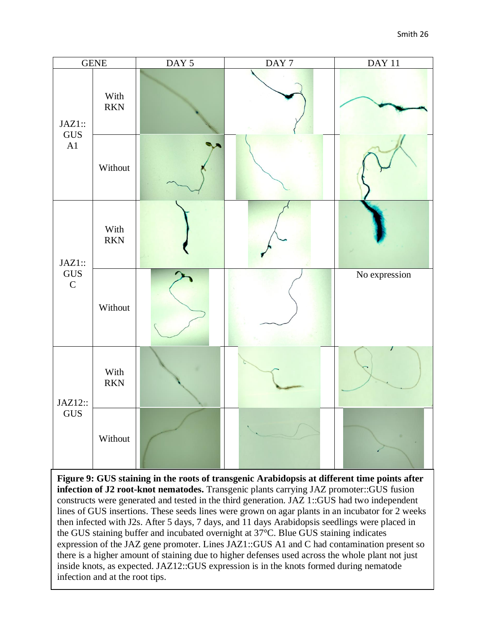

the GUS staining buffer and incubated overnight at 37°C. Blue GUS staining indicates **Figure 9: GUS staining in the roots of transgenic Arabidopsis at different time points after infection of J2 root-knot nematodes.** Transgenic plants carrying JAZ promoter::GUS fusion constructs were generated and tested in the third generation. JAZ 1::GUS had two independent lines of GUS insertions. These seeds lines were grown on agar plants in an incubator for 2 weeks then infected with J2s. After 5 days, 7 days, and 11 days Arabidopsis seedlings were placed in expression of the JAZ gene promoter. Lines JAZ1::GUS A1 and C had contamination present so there is a higher amount of staining due to higher defenses used across the whole plant not just inside knots, as expected. JAZ12::GUS expression is in the knots formed during nematode infection and at the root tips.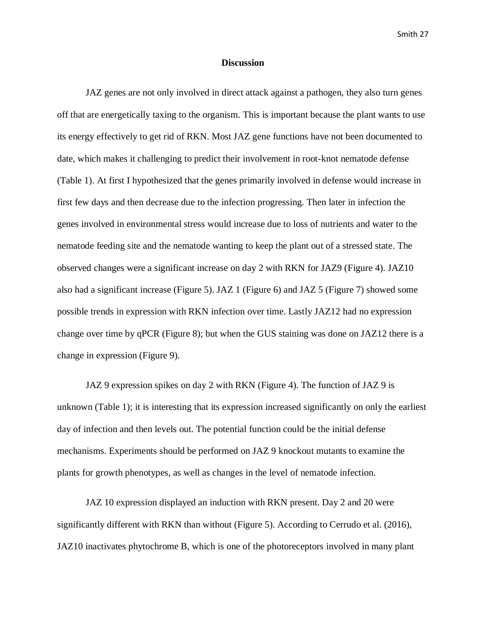#### **Discussion**

JAZ genes are not only involved in direct attack against a pathogen, they also turn genes off that are energetically taxing to the organism. This is important because the plant wants to use its energy effectively to get rid of RKN. Most JAZ gene functions have not been documented to date, which makes it challenging to predict their involvement in root-knot nematode defense (Table 1). At first I hypothesized that the genes primarily involved in defense would increase in first few days and then decrease due to the infection progressing. Then later in infection the genes involved in environmental stress would increase due to loss of nutrients and water to the nematode feeding site and the nematode wanting to keep the plant out of a stressed state. The observed changes were a significant increase on day 2 with RKN for JAZ9 (Figure 4). JAZ10 also had a significant increase (Figure 5). JAZ 1 (Figure 6) and JAZ 5 (Figure 7) showed some possible trends in expression with RKN infection over time. Lastly JAZ12 had no expression change over time by qPCR (Figure 8); but when the GUS staining was done on JAZ12 there is a change in expression (Figure 9).

JAZ 9 expression spikes on day 2 with RKN (Figure 4). The function of JAZ 9 is unknown (Table 1); it is interesting that its expression increased significantly on only the earliest day of infection and then levels out. The potential function could be the initial defense mechanisms. Experiments should be performed on JAZ 9 knockout mutants to examine the plants for growth phenotypes, as well as changes in the level of nematode infection.

JAZ 10 expression displayed an induction with RKN present. Day 2 and 20 were significantly different with RKN than without (Figure 5). According to Cerrudo et al. (2016), JAZ10 inactivates phytochrome B, which is one of the photoreceptors involved in many plant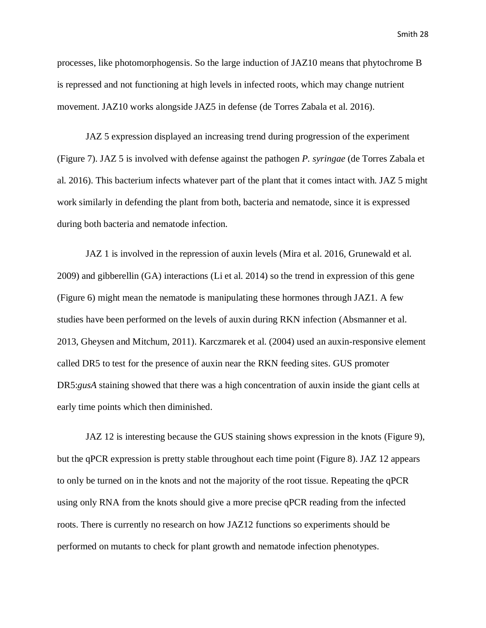processes, like photomorphogensis. So the large induction of JAZ10 means that phytochrome B is repressed and not functioning at high levels in infected roots, which may change nutrient movement. JAZ10 works alongside JAZ5 in defense (de Torres Zabala et al. 2016).

JAZ 5 expression displayed an increasing trend during progression of the experiment (Figure 7). JAZ 5 is involved with defense against the pathogen *P. syringae* (de Torres Zabala et al. 2016). This bacterium infects whatever part of the plant that it comes intact with. JAZ 5 might work similarly in defending the plant from both, bacteria and nematode, since it is expressed during both bacteria and nematode infection.

JAZ 1 is involved in the repression of auxin levels (Mira et al. 2016, Grunewald et al. 2009) and gibberellin (GA) interactions (Li et al. 2014) so the trend in expression of this gene (Figure 6) might mean the nematode is manipulating these hormones through JAZ1. A few studies have been performed on the levels of auxin during RKN infection (Absmanner et al. 2013, Gheysen and Mitchum, 2011). Karczmarek et al. (2004) used an auxin-responsive element called DR5 to test for the presence of auxin near the RKN feeding sites. GUS promoter DR5:*gusA* staining showed that there was a high concentration of auxin inside the giant cells at early time points which then diminished.

JAZ 12 is interesting because the GUS staining shows expression in the knots (Figure 9), but the qPCR expression is pretty stable throughout each time point (Figure 8). JAZ 12 appears to only be turned on in the knots and not the majority of the root tissue. Repeating the qPCR using only RNA from the knots should give a more precise qPCR reading from the infected roots. There is currently no research on how JAZ12 functions so experiments should be performed on mutants to check for plant growth and nematode infection phenotypes.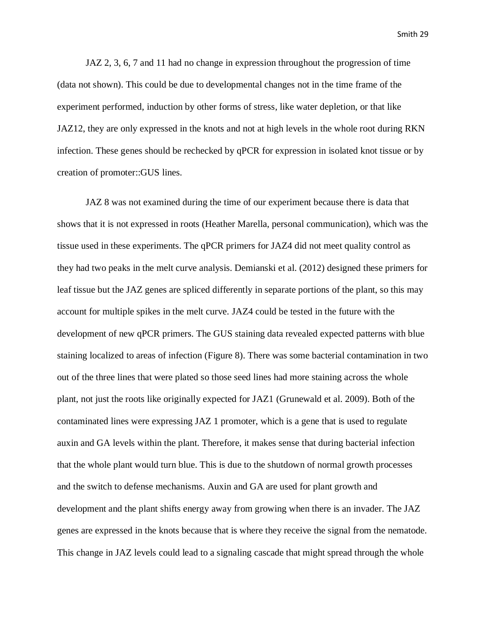JAZ 2, 3, 6, 7 and 11 had no change in expression throughout the progression of time (data not shown). This could be due to developmental changes not in the time frame of the experiment performed, induction by other forms of stress, like water depletion, or that like JAZ12, they are only expressed in the knots and not at high levels in the whole root during RKN infection. These genes should be rechecked by qPCR for expression in isolated knot tissue or by creation of promoter::GUS lines.

JAZ 8 was not examined during the time of our experiment because there is data that shows that it is not expressed in roots (Heather Marella, personal communication), which was the tissue used in these experiments. The qPCR primers for JAZ4 did not meet quality control as they had two peaks in the melt curve analysis. Demianski et al. (2012) designed these primers for leaf tissue but the JAZ genes are spliced differently in separate portions of the plant, so this may account for multiple spikes in the melt curve. JAZ4 could be tested in the future with the development of new qPCR primers. The GUS staining data revealed expected patterns with blue staining localized to areas of infection (Figure 8). There was some bacterial contamination in two out of the three lines that were plated so those seed lines had more staining across the whole plant, not just the roots like originally expected for JAZ1 (Grunewald et al. 2009). Both of the contaminated lines were expressing JAZ 1 promoter, which is a gene that is used to regulate auxin and GA levels within the plant. Therefore, it makes sense that during bacterial infection that the whole plant would turn blue. This is due to the shutdown of normal growth processes and the switch to defense mechanisms. Auxin and GA are used for plant growth and development and the plant shifts energy away from growing when there is an invader. The JAZ genes are expressed in the knots because that is where they receive the signal from the nematode. This change in JAZ levels could lead to a signaling cascade that might spread through the whole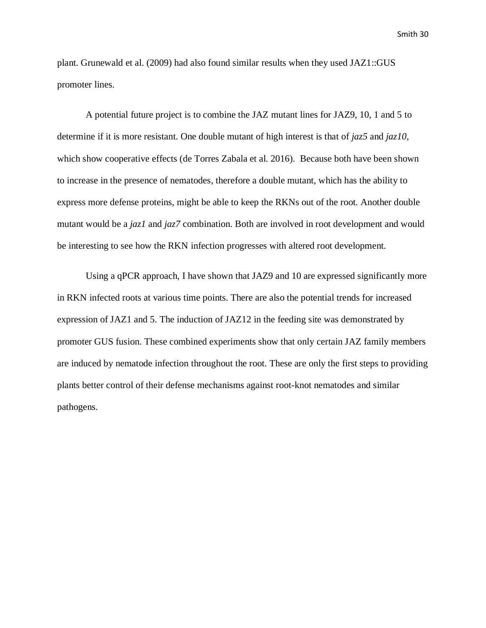plant. Grunewald et al. (2009) had also found similar results when they used JAZ1::GUS promoter lines.

A potential future project is to combine the JAZ mutant lines for JAZ9, 10, 1 and 5 to determine if it is more resistant. One double mutant of high interest is that of *jaz5* and *jaz10*, which show cooperative effects (de Torres Zabala et al. 2016). Because both have been shown to increase in the presence of nematodes, therefore a double mutant, which has the ability to express more defense proteins, might be able to keep the RKNs out of the root. Another double mutant would be a *jaz1* and *jaz7* combination. Both are involved in root development and would be interesting to see how the RKN infection progresses with altered root development.

Using a qPCR approach, I have shown that JAZ9 and 10 are expressed significantly more in RKN infected roots at various time points. There are also the potential trends for increased expression of JAZ1 and 5. The induction of JAZ12 in the feeding site was demonstrated by promoter GUS fusion. These combined experiments show that only certain JAZ family members are induced by nematode infection throughout the root. These are only the first steps to providing plants better control of their defense mechanisms against root-knot nematodes and similar pathogens.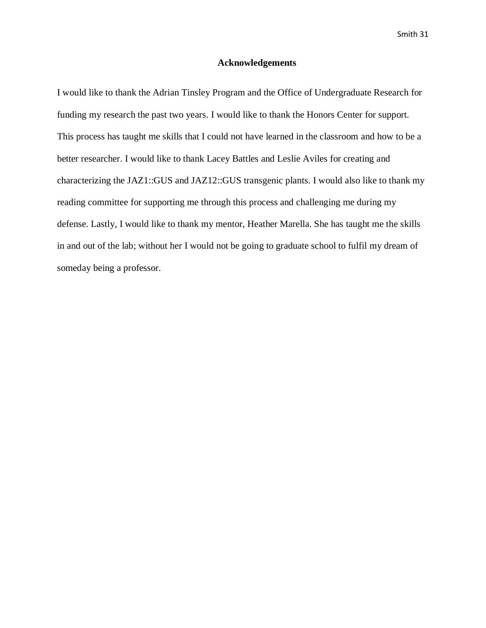#### **Acknowledgements**

I would like to thank the Adrian Tinsley Program and the Office of Undergraduate Research for funding my research the past two years. I would like to thank the Honors Center for support. This process has taught me skills that I could not have learned in the classroom and how to be a better researcher. I would like to thank Lacey Battles and Leslie Aviles for creating and characterizing the JAZ1::GUS and JAZ12::GUS transgenic plants. I would also like to thank my reading committee for supporting me through this process and challenging me during my defense. Lastly, I would like to thank my mentor, Heather Marella. She has taught me the skills in and out of the lab; without her I would not be going to graduate school to fulfil my dream of someday being a professor.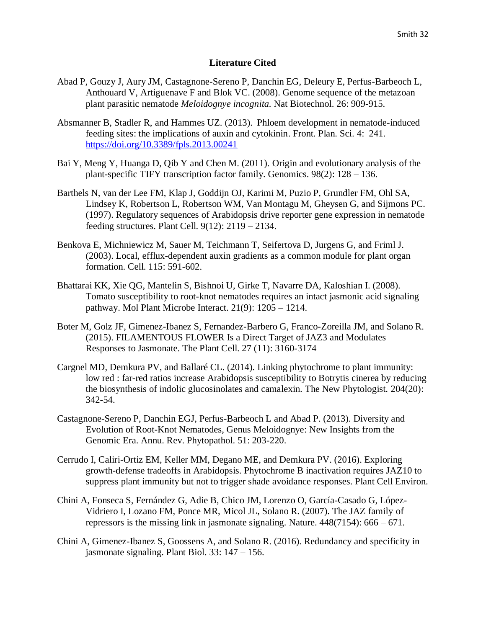### **Literature Cited**

- Abad P, Gouzy J, Aury JM, Castagnone-Sereno P, Danchin EG, Deleury E, Perfus-Barbeoch L, Anthouard V, Artiguenave F and Blok VC. (2008). Genome sequence of the metazoan plant parasitic nematode *Meloidognye incognita.* Nat Biotechnol. 26: 909-915.
- Absmanner B, Stadler R, and Hammes UZ. (2013). Phloem development in nematode-induced feeding sites: the implications of auxin and cytokinin. Front. Plan. Sci. 4: 241. <https://doi.org/10.3389/fpls.2013.00241>
- Bai Y, Meng Y, Huanga D, Qib Y and Chen M. (2011). Origin and evolutionary analysis of the plant-specific TIFY transcription factor family. Genomics. 98(2): 128 – 136.
- Barthels N, van der Lee FM, Klap J, Goddijn OJ, Karimi M, Puzio P, Grundler FM, Ohl SA, Lindsey K, Robertson L, Robertson WM, Van Montagu M, Gheysen G, and Sijmons PC. (1997). Regulatory sequences of Arabidopsis drive reporter gene expression in nematode feeding structures. Plant Cell. 9(12): 2119 – 2134.
- Benkova E, Michniewicz M, Sauer M, Teichmann T, Seifertova D, Jurgens G, and Friml J. (2003). Local, efflux-dependent auxin gradients as a common module for plant organ formation. Cell. 115: 591-602.
- Bhattarai KK, Xie QG, Mantelin S, Bishnoi U, Girke T, Navarre DA, Kaloshian I. (2008). Tomato susceptibility to root-knot nematodes requires an intact jasmonic acid signaling pathway. Mol Plant Microbe Interact. 21(9): 1205 – 1214.
- Boter M, Golz JF, Gimenez-Ibanez S, Fernandez-Barbero G, Franco-Zoreilla JM, and Solano R. (2015). FILAMENTOUS FLOWER Is a Direct Target of JAZ3 and Modulates Responses to Jasmonate. The Plant Cell. 27 (11): 3160-3174
- Cargnel MD, Demkura PV, and Ballaré CL. (2014). Linking phytochrome to plant immunity: low red : far-red ratios increase Arabidopsis susceptibility to Botrytis cinerea by reducing the biosynthesis of indolic glucosinolates and camalexin. The New Phytologist. 204(20): 342-54.
- Castagnone-Sereno P, Danchin EGJ, Perfus-Barbeoch L and Abad P. (2013). Diversity and Evolution of Root-Knot Nematodes, Genus Meloidognye: New Insights from the Genomic Era. Annu. Rev. Phytopathol. 51: 203-220.
- Cerrudo I, Caliri-Ortiz EM, Keller MM, Degano ME, and Demkura PV. (2016). Exploring growth-defense tradeoffs in Arabidopsis. Phytochrome B inactivation requires JAZ10 to suppress plant immunity but not to trigger shade avoidance responses. Plant Cell Environ.
- Chini A, Fonseca S, Fernández G, Adie B, Chico JM, Lorenzo O, García-Casado G, López-Vidriero I, Lozano FM, Ponce MR, Micol JL, Solano R. (2007). The JAZ family of repressors is the missing link in jasmonate signaling. Nature.  $448(7154)$ :  $666 - 671$ .
- Chini A, Gimenez-Ibanez S, Goossens A, and Solano R. (2016). Redundancy and specificity in jasmonate signaling. Plant Biol. 33: 147 – 156.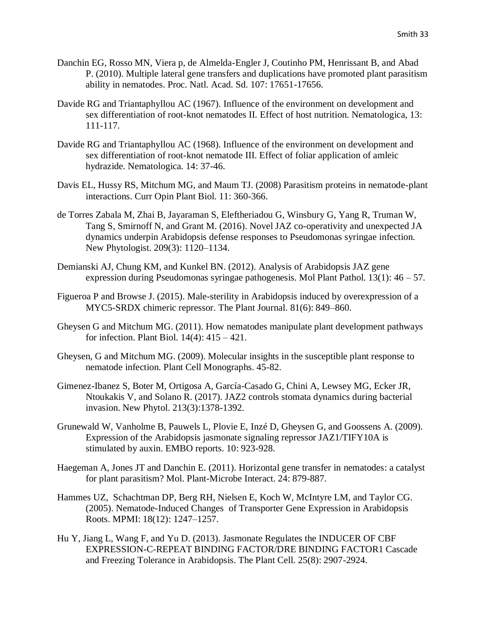- Danchin EG, Rosso MN, Viera p, de Almelda-Engler J, Coutinho PM, Henrissant B, and Abad P. (2010). Multiple lateral gene transfers and duplications have promoted plant parasitism ability in nematodes. Proc. Natl. Acad. Sd. 107: 17651-17656.
- Davide RG and Triantaphyllou AC (1967). Influence of the environment on development and sex differentiation of root-knot nematodes II. Effect of host nutrition. Nematologica, 13: 111-117.
- Davide RG and Triantaphyllou AC (1968). Influence of the environment on development and sex differentiation of root-knot nematode III. Effect of foliar application of amleic hydrazide. Nematologica. 14: 37-46.
- Davis EL, Hussy RS, Mitchum MG, and Maum TJ. (2008) Parasitism proteins in nematode-plant interactions. Curr Opin Plant Biol. 11: 360-366.
- de Torres Zabala M, Zhai B, Jayaraman S, Eleftheriadou G, Winsbury G, Yang R, Truman W, Tang S, Smirnoff N, and Grant M. (2016). Novel JAZ co-operativity and unexpected JA dynamics underpin Arabidopsis defense responses to Pseudomonas syringae infection. New Phytologist. 209(3): 1120–1134.
- Demianski AJ, Chung KM, and Kunkel BN. (2012). Analysis of Arabidopsis JAZ gene expression during Pseudomonas syringae pathogenesis. Mol Plant Pathol. 13(1): 46 – 57.
- Figueroa P and Browse J. (2015). Male-sterility in Arabidopsis induced by overexpression of a MYC5-SRDX chimeric repressor. The Plant Journal. 81(6): 849–860.
- Gheysen G and Mitchum MG. (2011). How nematodes manipulate plant development pathways for infection. Plant Biol. 14(4): 415 – 421.
- Gheysen, G and Mitchum MG. (2009). Molecular insights in the susceptible plant response to nematode infection. Plant Cell Monographs. 45-82.
- Gimenez-Ibanez S, Boter M, Ortigosa A, García-Casado G, Chini A, Lewsey MG, Ecker JR, Ntoukakis V, and Solano R. (2017). JAZ2 controls stomata dynamics during bacterial invasion. New Phytol. 213(3):1378-1392.
- Grunewald W, Vanholme B, Pauwels L, Plovie E, Inzé D, Gheysen G, and Goossens A. (2009). Expression of the Arabidopsis jasmonate signaling repressor JAZ1/TIFY10A is stimulated by auxin. EMBO reports. 10: 923-928.
- Haegeman A, Jones JT and Danchin E. (2011). Horizontal gene transfer in nematodes: a catalyst for plant parasitism? Mol. Plant-Microbe Interact. 24: 879-887.
- Hammes UZ, Schachtman DP, Berg RH, Nielsen E, Koch W, McIntyre LM, and Taylor CG. (2005). Nematode-Induced Changes of Transporter Gene Expression in Arabidopsis Roots. MPMI: 18(12): 1247–1257.
- Hu Y, Jiang L, Wang F, and Yu D. (2013). Jasmonate Regulates the INDUCER OF CBF EXPRESSION-C-REPEAT BINDING FACTOR/DRE BINDING FACTOR1 Cascade and Freezing Tolerance in Arabidopsis. The Plant Cell. 25(8): 2907-2924.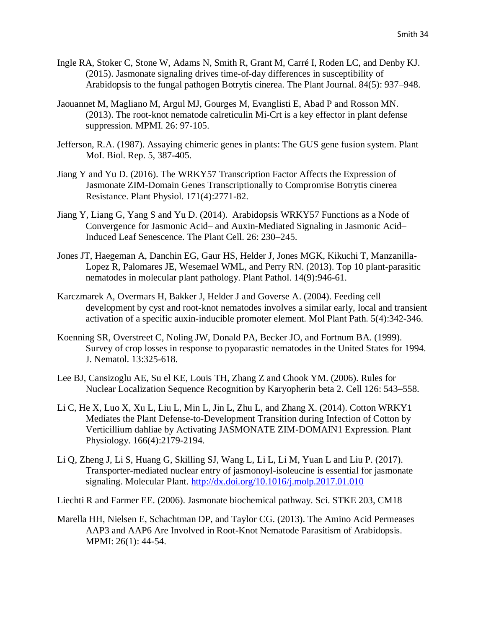- Ingle RA, Stoker C, Stone W, Adams N, Smith R, Grant M, Carré I, Roden LC, and Denby KJ. (2015). Jasmonate signaling drives time-of-day differences in susceptibility of Arabidopsis to the fungal pathogen Botrytis cinerea. The Plant Journal. 84(5): 937–948.
- Jaouannet M, Magliano M, Argul MJ, Gourges M, Evanglisti E, Abad P and Rosson MN. (2013). The root-knot nematode calreticulin Mi-Crt is a key effector in plant defense suppression. MPMI. 26: 97-105.
- Jefferson, R.A. (1987). Assaying chimeric genes in plants: The GUS gene fusion system. Plant MoI. Biol. Rep. 5, 387-405.
- Jiang Y and Yu D. (2016). The WRKY57 Transcription Factor Affects the Expression of Jasmonate ZIM-Domain Genes Transcriptionally to Compromise Botrytis cinerea Resistance. Plant Physiol. 171(4):2771-82.
- Jiang Y, Liang G, Yang S and Yu D. (2014). Arabidopsis WRKY57 Functions as a Node of Convergence for Jasmonic Acid– and Auxin-Mediated Signaling in Jasmonic Acid– Induced Leaf Senescence. The Plant Cell. 26: 230–245.
- Jones JT, Haegeman A, Danchin EG, Gaur HS, Helder J, Jones MGK, Kikuchi T, Manzanilla-Lopez R, Palomares JE, Wesemael WML, and Perry RN. (2013). Top 10 plant-parasitic nematodes in molecular plant pathology. Plant Pathol. 14(9):946-61.
- Karczmarek A, Overmars H, Bakker J, Helder J and Goverse A. (2004). Feeding cell development by cyst and root-knot nematodes involves a similar early, local and transient activation of a specific auxin-inducible promoter element. Mol Plant Path. 5(4):342-346.
- Koenning SR, Overstreet C, Noling JW, Donald PA, Becker JO, and Fortnum BA. (1999). Survey of crop losses in response to pyoparastic nematodes in the United States for 1994. J. Nematol. 13:325-618.
- Lee BJ, Cansizoglu AE, Su el KE, Louis TH, Zhang Z and Chook YM. (2006). Rules for Nuclear Localization Sequence Recognition by Karyopherin beta 2. Cell 126: 543–558.
- Li C, He X, Luo X, Xu L, Liu L, Min L, Jin L, Zhu L, and Zhang X. (2014). Cotton WRKY1 Mediates the Plant Defense-to-Development Transition during Infection of Cotton by Verticillium dahliae by Activating JASMONATE ZIM-DOMAIN1 Expression. Plant Physiology. 166(4):2179-2194.
- Li Q, Zheng J, Li S, Huang G, Skilling SJ, Wang L, Li L, Li M, Yuan L and Liu P. (2017). Transporter-mediated nuclear entry of jasmonoyl-isoleucine is essential for jasmonate signaling. Molecular Plant.<http://dx.doi.org/10.1016/j.molp.2017.01.010>

Liechti R and Farmer EE. (2006). Jasmonate biochemical pathway. Sci. STKE 203, CM18

Marella HH, Nielsen E, Schachtman DP, and Taylor CG. (2013). The Amino Acid Permeases AAP3 and AAP6 Are Involved in Root-Knot Nematode Parasitism of Arabidopsis. MPMI: 26(1): 44-54.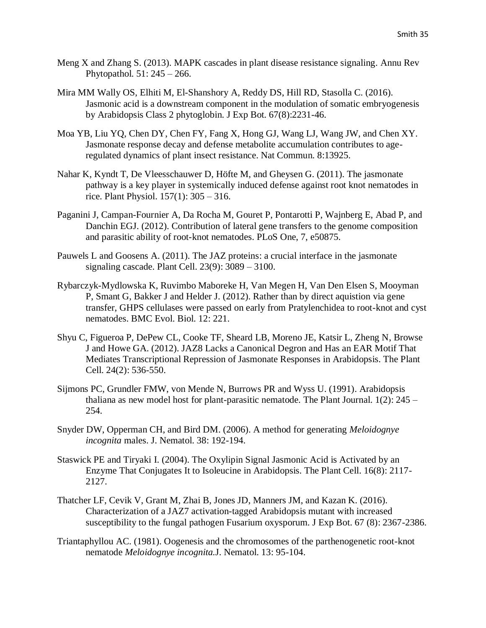- Meng X and Zhang S. (2013). MAPK cascades in plant disease resistance signaling. Annu Rev Phytopathol. 51: 245 – 266.
- Mira MM Wally OS, Elhiti M, El-Shanshory A, Reddy DS, Hill RD, Stasolla C. (2016). Jasmonic acid is a downstream component in the modulation of somatic embryogenesis by Arabidopsis Class 2 phytoglobin. J Exp Bot. 67(8):2231-46.
- Moa YB, Liu YQ, Chen DY, Chen FY, Fang X, Hong GJ, Wang LJ, Wang JW, and Chen XY. Jasmonate response decay and defense metabolite accumulation contributes to ageregulated dynamics of plant insect resistance. Nat Commun. 8:13925.
- Nahar K, Kyndt T, De Vleesschauwer D, Höfte M, and Gheysen G. (2011). The jasmonate pathway is a key player in systemically induced defense against root knot nematodes in rice. Plant Physiol. 157(1): 305 – 316.
- Paganini J, Campan-Fournier A, Da Rocha M, Gouret P, Pontarotti P, Wajnberg E, Abad P, and Danchin EGJ. (2012). Contribution of lateral gene transfers to the genome composition and parasitic ability of root-knot nematodes. PLoS One, 7, e50875.
- Pauwels L and Goosens A. (2011). The JAZ proteins: a crucial interface in the jasmonate signaling cascade. Plant Cell. 23(9): 3089 – 3100.
- Rybarczyk-Mydlowska K, Ruvimbo Maboreke H, Van Megen H, Van Den Elsen S, Mooyman P, Smant G, Bakker J and Helder J. (2012). Rather than by direct aquistion via gene transfer, GHPS cellulases were passed on early from Pratylenchidea to root-knot and cyst nematodes. BMC Evol. Biol. 12: 221.
- Shyu C, Figueroa P, DePew CL, Cooke TF, Sheard LB, Moreno JE, Katsir L, Zheng N, Browse J and Howe GA. (2012). JAZ8 Lacks a Canonical Degron and Has an EAR Motif That Mediates Transcriptional Repression of Jasmonate Responses in Arabidopsis. The Plant Cell. 24(2): 536-550.
- Sijmons PC, Grundler FMW, von Mende N, Burrows PR and Wyss U. (1991). Arabidopsis thaliana as new model host for plant-parasitic nematode. The Plant Journal.  $1(2)$ :  $245 -$ 254.
- Snyder DW, Opperman CH, and Bird DM. (2006). A method for generating *Meloidognye incognita* males. J. Nematol. 38: 192-194.
- Staswick PE and Tiryaki I. (2004). The Oxylipin Signal Jasmonic Acid is Activated by an Enzyme That Conjugates It to Isoleucine in Arabidopsis. The Plant Cell. 16(8): 2117- 2127.
- Thatcher LF, Cevik V, Grant M, Zhai B, Jones JD, Manners JM, and Kazan K. (2016). Characterization of a JAZ7 activation-tagged Arabidopsis mutant with increased susceptibility to the fungal pathogen Fusarium oxysporum. J Exp Bot. 67 (8): 2367-2386.
- Triantaphyllou AC. (1981). Oogenesis and the chromosomes of the parthenogenetic root-knot nematode *Meloidognye incognita.*J. Nematol. 13: 95-104.